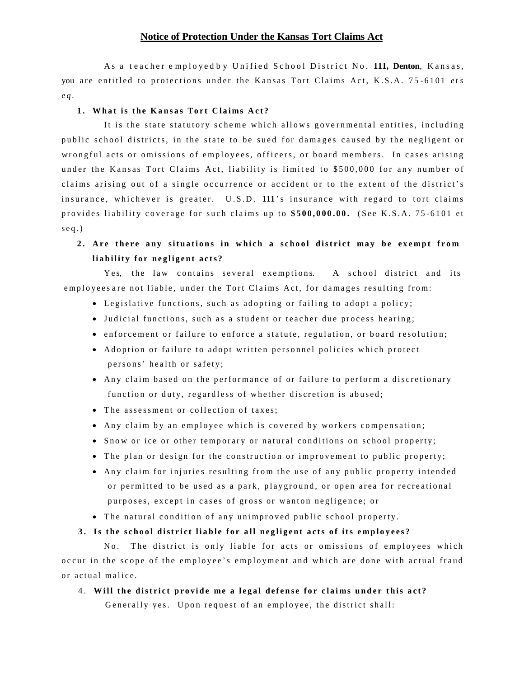#### **Notice of Protection Under the Kansas Tort Claims Act**

As a teacher employed by Unified School District No. 111, Denton, Kansas, you are entitled to protections under the Kansas Tort Claims Act, K.S.A. 75-6101 *ets e q .*

#### **1 . Wh a t is t he Ka n s a s To r t C l a i ms A c t ?**

It is the state statutory scheme which allows governmental entities, including public school districts, in the state to be sued for damages caused by the negligent or wrongful acts or omissions of employees, officers, or board members. In cases arising under the Kansas Tort Claims Act, liability is limited to \$500,000 for any number of claims arising out of a single occurrence or accident or to the extent of the district's in surance, whichever is greater. U.S.D. 111's insurance with regard to tort claims provides liability coverage for such claims up to \$500,000.00. (See K.S.A. 75-6101 et  $seq.$ )

## 2. Are there any situations in which a school district may be exempt from **l i a b i l it y f o r ne g l i g e nt a c ts ?**

Yes, the law contains several exemptions. A school district and its employees are not liable, under the Tort Claims Act, for damages resulting from:

- Legislative functions, such as adopting or failing to adopt a policy;
- Judicial functions, such as a student or teacher due process hearing;
- enforcement or failure to enforce a statute, regulation, or board resolution;
- Adoption or failure to adopt written personnel policies which protect persons' health or safety;
- Any claim based on the performance of or failure to perform a discretionary function or duty, regardless of whether discretion is abused;
- The assessment or collection of taxes;
- Any claim by an employee which is covered by workers compensation;
- Snow or ice or other temporary or natural conditions on school property;
- The plan or design for the construction or improvement to public property;
- Any claim for injuries resulting from the use of any public property intended or permitted to be used as a park, playground, or open area for recreational purposes, except in cases of gross or wanton negligence; or
- The natural condition of any unimproved public school property.

### 3. Is the school district liable for all negligent acts of its employees?

No. The district is only liable for acts or omissions of employees which occur in the scope of the employee's employment and which are done with actual fraud or actual malice.

## 4. Will the district provide me a legal defense for claims under this act?

Generally yes. Upon request of an employee, the district shall: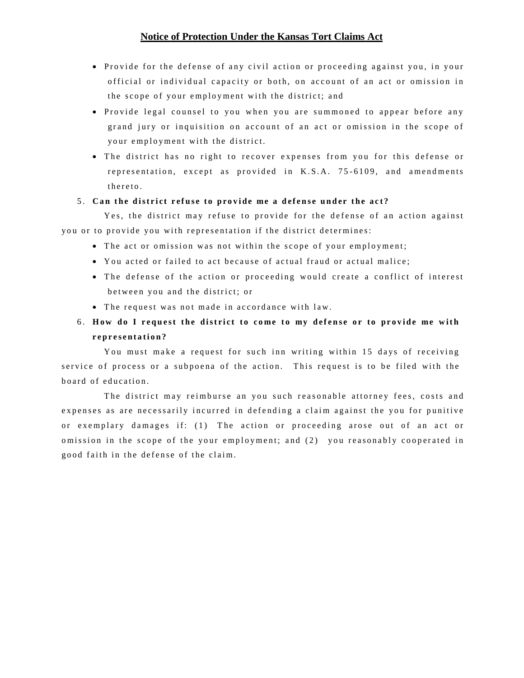## **Notice of Protection Under the Kansas Tort Claims Act**

- Provide for the defense of any civil action or proceeding against you, in your official or individual capacity or both, on account of an act or omission in the scope of your employment with the district; and
- Provide legal counsel to you when you are summoned to appear before any grand jury or inquisition on account of an act or omission in the scope of your employment with the district.
- The district has no right to recover expenses from you for this defense or representation, except as provided in K.S.A. 75-6109, and amendments there to

#### 5. Can the district refuse to provide me a defense under the act?

Yes, the district may refuse to provide for the defense of an action against you or to provide you with representation if the district determines:

- The act or omission was not within the scope of your employment;
- You acted or failed to act because of actual fraud or actual malice;
- The defense of the action or proceeding would create a conflict of interest between you and the district; or
- The request was not made in accordance with law.

# 6. How do I request the district to come to my defense or to provide me with **r e p r e s e n t a ti o n?**

You must make a request for such inn writing within 15 days of receiving service of process or a subpoena of the action. This request is to be filed with the board of education.

The district may reimburse an you such reasonable attorney fees, costs and expenses as are necessarily incurred in defending a claim against the you for punitive or exemplary damages if: (1) The action or proceeding arose out of an act or omission in the scope of the your employment; and (2) you reasonably cooperated in good faith in the defense of the claim.